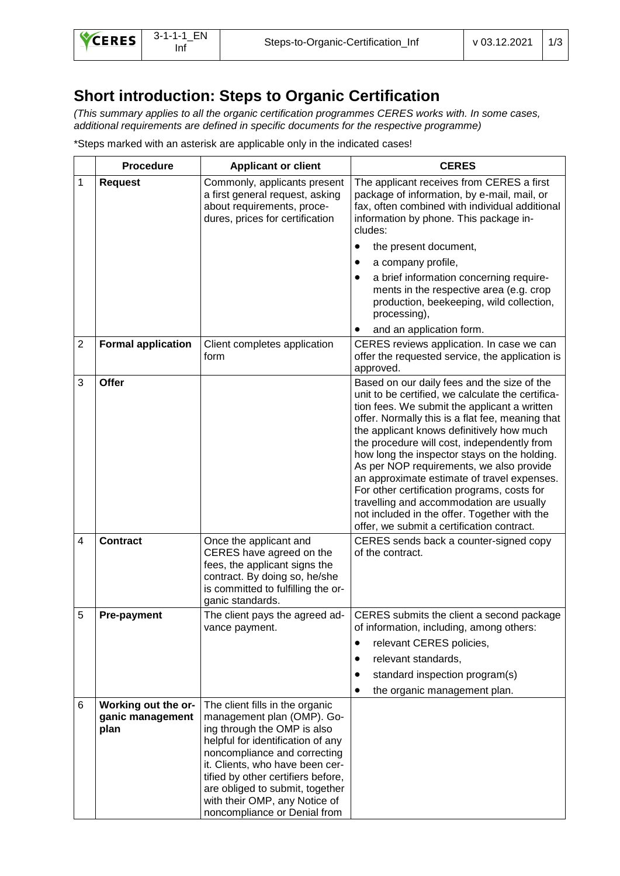## **Short introduction: Steps to Organic Certification**

*(This summary applies to all the organic certification programmes CERES works with. In some cases, additional requirements are defined in specific documents for the respective programme)* 

\*Steps marked with an asterisk are applicable only in the indicated cases!

|                | <b>Procedure</b>                                | <b>Applicant or client</b>                                                                                                                                                                                                                                                                                                                     | <b>CERES</b>                                                                                                                                                                                                                                                                                                                                                                                                                                                                                                                                                                                                                         |  |
|----------------|-------------------------------------------------|------------------------------------------------------------------------------------------------------------------------------------------------------------------------------------------------------------------------------------------------------------------------------------------------------------------------------------------------|--------------------------------------------------------------------------------------------------------------------------------------------------------------------------------------------------------------------------------------------------------------------------------------------------------------------------------------------------------------------------------------------------------------------------------------------------------------------------------------------------------------------------------------------------------------------------------------------------------------------------------------|--|
| 1              | <b>Request</b>                                  | Commonly, applicants present<br>a first general request, asking<br>about requirements, proce-<br>dures, prices for certification                                                                                                                                                                                                               | The applicant receives from CERES a first<br>package of information, by e-mail, mail, or<br>fax, often combined with individual additional<br>information by phone. This package in-<br>cludes:                                                                                                                                                                                                                                                                                                                                                                                                                                      |  |
|                |                                                 |                                                                                                                                                                                                                                                                                                                                                | the present document,                                                                                                                                                                                                                                                                                                                                                                                                                                                                                                                                                                                                                |  |
|                |                                                 |                                                                                                                                                                                                                                                                                                                                                | a company profile,                                                                                                                                                                                                                                                                                                                                                                                                                                                                                                                                                                                                                   |  |
|                |                                                 |                                                                                                                                                                                                                                                                                                                                                | a brief information concerning require-<br>ments in the respective area (e.g. crop<br>production, beekeeping, wild collection,<br>processing),                                                                                                                                                                                                                                                                                                                                                                                                                                                                                       |  |
|                |                                                 |                                                                                                                                                                                                                                                                                                                                                | and an application form.                                                                                                                                                                                                                                                                                                                                                                                                                                                                                                                                                                                                             |  |
| $\overline{2}$ | <b>Formal application</b>                       | Client completes application<br>form                                                                                                                                                                                                                                                                                                           | CERES reviews application. In case we can<br>offer the requested service, the application is<br>approved.                                                                                                                                                                                                                                                                                                                                                                                                                                                                                                                            |  |
| 3              | Offer                                           |                                                                                                                                                                                                                                                                                                                                                | Based on our daily fees and the size of the<br>unit to be certified, we calculate the certifica-<br>tion fees. We submit the applicant a written<br>offer. Normally this is a flat fee, meaning that<br>the applicant knows definitively how much<br>the procedure will cost, independently from<br>how long the inspector stays on the holding.<br>As per NOP requirements, we also provide<br>an approximate estimate of travel expenses.<br>For other certification programs, costs for<br>travelling and accommodation are usually<br>not included in the offer. Together with the<br>offer, we submit a certification contract. |  |
| $\overline{4}$ | <b>Contract</b>                                 | Once the applicant and<br>CERES have agreed on the<br>fees, the applicant signs the<br>contract. By doing so, he/she<br>is committed to fulfilling the or-<br>ganic standards.                                                                                                                                                                 | CERES sends back a counter-signed copy<br>of the contract.                                                                                                                                                                                                                                                                                                                                                                                                                                                                                                                                                                           |  |
| 5              | <b>Pre-payment</b>                              | The client pays the agreed ad-<br>vance payment.                                                                                                                                                                                                                                                                                               | CERES submits the client a second package<br>of information, including, among others:<br>relevant CERES policies,<br>relevant standards,<br>$\bullet$<br>standard inspection program(s)<br>$\bullet$<br>the organic management plan.<br>٠                                                                                                                                                                                                                                                                                                                                                                                            |  |
| 6              | Working out the or-<br>ganic management<br>plan | The client fills in the organic<br>management plan (OMP). Go-<br>ing through the OMP is also<br>helpful for identification of any<br>noncompliance and correcting<br>it. Clients, who have been cer-<br>tified by other certifiers before,<br>are obliged to submit, together<br>with their OMP, any Notice of<br>noncompliance or Denial from |                                                                                                                                                                                                                                                                                                                                                                                                                                                                                                                                                                                                                                      |  |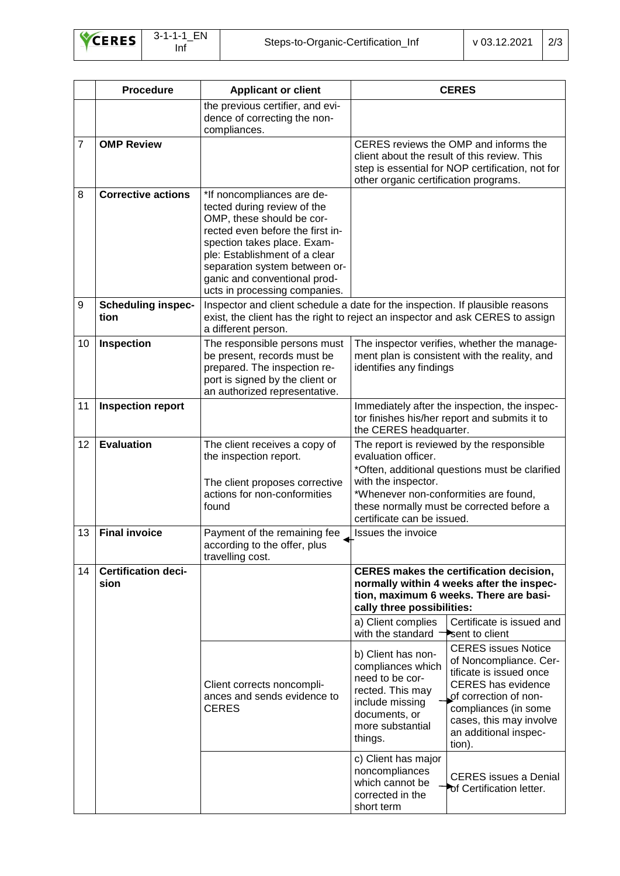|                | <b>Procedure</b>                   | <b>Applicant or client</b>                                                                                                                                                                                                                                                                   | <b>CERES</b>                                                                                                                                                                                                                                                                                                                                                                                                                                                                                                                                                                                                                                                                                                                                  |  |
|----------------|------------------------------------|----------------------------------------------------------------------------------------------------------------------------------------------------------------------------------------------------------------------------------------------------------------------------------------------|-----------------------------------------------------------------------------------------------------------------------------------------------------------------------------------------------------------------------------------------------------------------------------------------------------------------------------------------------------------------------------------------------------------------------------------------------------------------------------------------------------------------------------------------------------------------------------------------------------------------------------------------------------------------------------------------------------------------------------------------------|--|
|                |                                    | the previous certifier, and evi-<br>dence of correcting the non-<br>compliances.                                                                                                                                                                                                             |                                                                                                                                                                                                                                                                                                                                                                                                                                                                                                                                                                                                                                                                                                                                               |  |
| $\overline{7}$ | <b>OMP Review</b>                  |                                                                                                                                                                                                                                                                                              | CERES reviews the OMP and informs the<br>client about the result of this review. This<br>step is essential for NOP certification, not for<br>other organic certification programs.                                                                                                                                                                                                                                                                                                                                                                                                                                                                                                                                                            |  |
| 8              | <b>Corrective actions</b>          | *If noncompliances are de-<br>tected during review of the<br>OMP, these should be cor-<br>rected even before the first in-<br>spection takes place. Exam-<br>ple: Establishment of a clear<br>separation system between or-<br>ganic and conventional prod-<br>ucts in processing companies. |                                                                                                                                                                                                                                                                                                                                                                                                                                                                                                                                                                                                                                                                                                                                               |  |
| 9              | <b>Scheduling inspec-</b><br>tion  | a different person.                                                                                                                                                                                                                                                                          | Inspector and client schedule a date for the inspection. If plausible reasons<br>exist, the client has the right to reject an inspector and ask CERES to assign                                                                                                                                                                                                                                                                                                                                                                                                                                                                                                                                                                               |  |
| 10             | Inspection                         | The responsible persons must<br>be present, records must be<br>prepared. The inspection re-<br>port is signed by the client or<br>an authorized representative.                                                                                                                              | The inspector verifies, whether the manage-<br>ment plan is consistent with the reality, and<br>identifies any findings                                                                                                                                                                                                                                                                                                                                                                                                                                                                                                                                                                                                                       |  |
| 11             | <b>Inspection report</b>           |                                                                                                                                                                                                                                                                                              | Immediately after the inspection, the inspec-<br>tor finishes his/her report and submits it to<br>the CERES headquarter.                                                                                                                                                                                                                                                                                                                                                                                                                                                                                                                                                                                                                      |  |
| 12             | <b>Evaluation</b>                  | The client receives a copy of<br>the inspection report.<br>The client proposes corrective<br>actions for non-conformities<br>found                                                                                                                                                           | The report is reviewed by the responsible<br>evaluation officer.<br>*Often, additional questions must be clarified<br>with the inspector.<br>*Whenever non-conformities are found,<br>these normally must be corrected before a<br>certificate can be issued.                                                                                                                                                                                                                                                                                                                                                                                                                                                                                 |  |
| 13             | <b>Final invoice</b>               | Payment of the remaining fee<br>according to the offer, plus<br>travelling cost.                                                                                                                                                                                                             | Issues the invoice                                                                                                                                                                                                                                                                                                                                                                                                                                                                                                                                                                                                                                                                                                                            |  |
| 14             | <b>Certification deci-</b><br>sion | Client corrects noncompli-<br>ances and sends evidence to<br><b>CERES</b>                                                                                                                                                                                                                    | <b>CERES makes the certification decision,</b><br>normally within 4 weeks after the inspec-<br>tion, maximum 6 weeks. There are basi-<br>cally three possibilities:<br>Certificate is issued and<br>a) Client complies<br>with the standard<br>sent to client<br><b>CERES</b> issues Notice<br>b) Client has non-<br>of Noncompliance. Cer-<br>compliances which<br>tificate is issued once<br>need to be cor-<br><b>CERES</b> has evidence<br>rected. This may<br>of correction of non-<br>include missing<br>compliances (in some<br>documents, or<br>cases, this may involve<br>more substantial<br>an additional inspec-<br>things.<br>tion).<br>c) Client has major<br>noncompliances<br><b>CERES</b> issues a Denial<br>which cannot be |  |
|                |                                    |                                                                                                                                                                                                                                                                                              | of Certification letter.<br>corrected in the<br>short term                                                                                                                                                                                                                                                                                                                                                                                                                                                                                                                                                                                                                                                                                    |  |